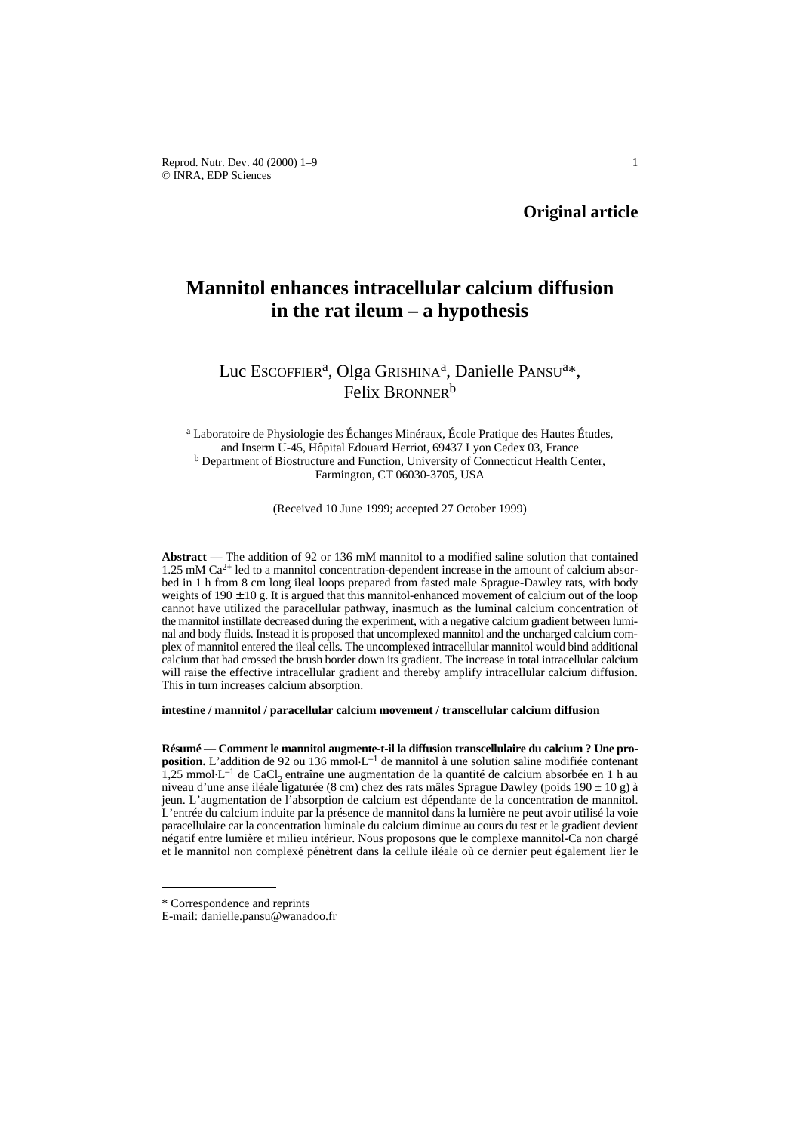Reprod. Nutr. Dev. 40 (2000) 1–9 1 © INRA, EDP Sciences

**Original article**

# **Mannitol enhances intracellular calcium diffusion in the rat ileum – a hypothesis**

## Luc Escoffler<sup>a</sup>, Olga Grishina<sup>a</sup>, Danielle PANSU<sup>a\*</sup>, Felix BRONNER<sup>b</sup>

<sup>a</sup> Laboratoire de Physiologie des Échanges Minéraux, École Pratique des Hautes Études, and Inserm U-45, Hôpital Edouard Herriot, 69437 Lyon Cedex 03, France <sup>b</sup> Department of Biostructure and Function, University of Connecticut Health Center, Farmington, CT 06030-3705, USA

(Received 10 June 1999; accepted 27 October 1999)

**Abstract** — The addition of 92 or 136 mM mannitol to a modified saline solution that contained  $1.25 \text{ mM Ca}^{2+}$  led to a mannitol concentration-dependent increase in the amount of calcium absorbed in 1 h from 8 cm long ileal loops prepared from fasted male Sprague-Dawley rats, with body weights of  $190 \pm 10$  g. It is argued that this mannitol-enhanced movement of calcium out of the loop cannot have utilized the paracellular pathway, inasmuch as the luminal calcium concentration of the mannitol instillate decreased during the experiment, with a negative calcium gradient between luminal and body fluids. Instead it is proposed that uncomplexed mannitol and the uncharged calcium complex of mannitol entered the ileal cells. The uncomplexed intracellular mannitol would bind additional calcium that had crossed the brush border down its gradient. The increase in total intracellular calcium will raise the effective intracellular gradient and thereby amplify intracellular calcium diffusion. This in turn increases calcium absorption.

**intestine / mannitol / paracellular calcium movement / transcellular calcium diffusion**

**Résumé** — **Comment le mannitol augmente-t-il la diffusion transcellulaire du calcium ? Une proposition.** L'addition de 92 ou 136 mmol.L–1 de mannitol à une solution saline modifiée contenant 1.25 mmol $\cdot$ L<sup>-1</sup> de CaCl, entraîne une augmentation de la quantité de calcium absorbée en 1 h au niveau d'une anse iléale ligaturée (8 cm) chez des rats mâles Sprague Dawley (poids 190 ± 10 g) à jeun. L'augmentation de l'absorption de calcium est dépendante de la concentration de mannitol. L'entrée du calcium induite par la présence de mannitol dans la lumière ne peut avoir utilisé la voie paracellulaire car la concentration luminale du calcium diminue au cours du test et le gradient devient négatif entre lumière et milieu intérieur. Nous proposons que le complexe mannitol-Ca non chargé et le mannitol non complexé pénètrent dans la cellule iléale où ce dernier peut également lier le

<sup>\*</sup> Correspondence and reprints

E-mail: danielle.pansu@wanadoo.fr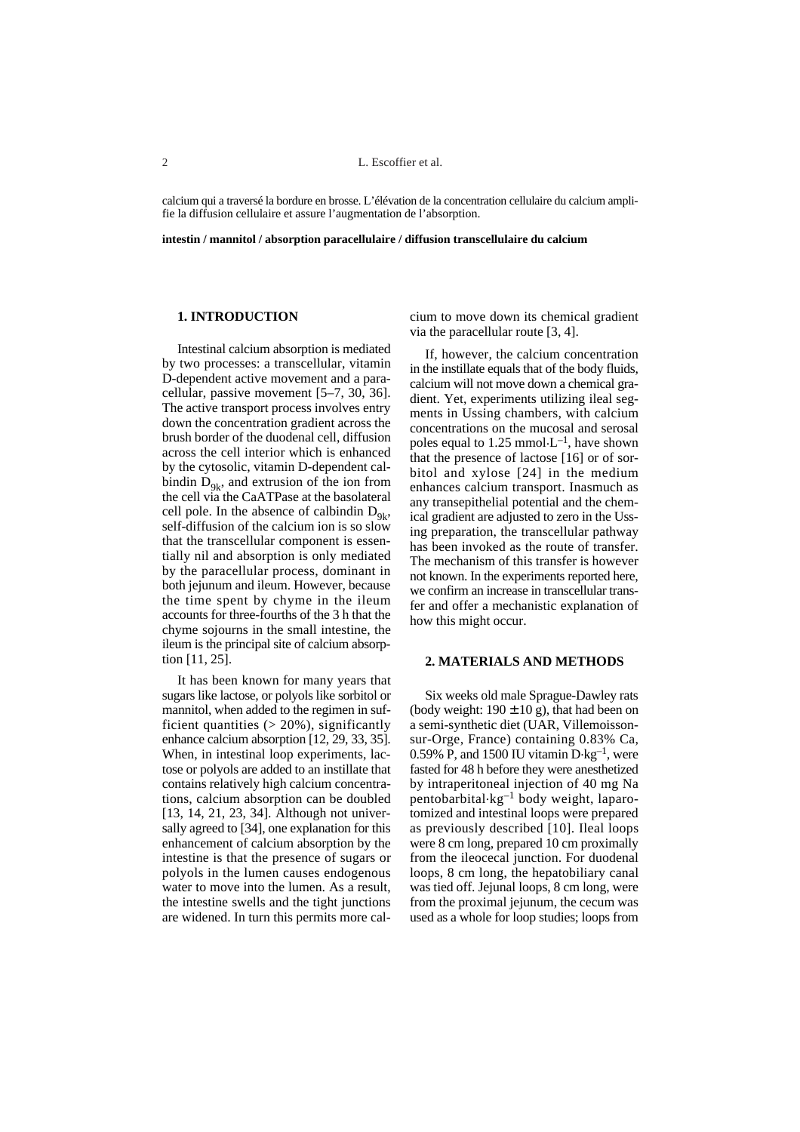calcium qui a traversé la bordure en brosse. L'élévation de la concentration cellulaire du calcium amplifie la diffusion cellulaire et assure l'augmentation de l'absorption.

**intestin / mannitol / absorption paracellulaire / diffusion transcellulaire du calcium**

## **1. INTRODUCTION**

Intestinal calcium absorption is mediated by two processes: a transcellular, vitamin D-dependent active movement and a paracellular, passive movement [5–7, 30, 36]. The active transport process involves entry down the concentration gradient across the brush border of the duodenal cell, diffusion across the cell interior which is enhanced by the cytosolic, vitamin D-dependent calbindin  $D_{9k}$ , and extrusion of the ion from the cell via the CaATPase at the basolateral cell pole. In the absence of calbindin  $D_{\alpha k}$ , self-diffusion of the calcium ion is so slow that the transcellular component is essentially nil and absorption is only mediated by the paracellular process, dominant in both jejunum and ileum. However, because the time spent by chyme in the ileum accounts for three-fourths of the 3 h that the chyme sojourns in the small intestine, the ileum is the principal site of calcium absorption [11, 25].

It has been known for many years that sugars like lactose, or polyols like sorbitol or mannitol, when added to the regimen in sufficient quantities  $(> 20\%)$ , significantly enhance calcium absorption [12, 29, 33, 35]. When, in intestinal loop experiments, lactose or polyols are added to an instillate that contains relatively high calcium concentrations, calcium absorption can be doubled [13, 14, 21, 23, 34]. Although not universally agreed to [34], one explanation for this enhancement of calcium absorption by the intestine is that the presence of sugars or polyols in the lumen causes endogenous water to move into the lumen. As a result, the intestine swells and the tight junctions are widened. In turn this permits more calcium to move down its chemical gradient via the paracellular route [3, 4].

If, however, the calcium concentration in the instillate equals that of the body fluids, calcium will not move down a chemical gradient. Yet, experiments utilizing ileal segments in Ussing chambers, with calcium concentrations on the mucosal and serosal poles equal to 1.25 mmol $\cdot L^{-1}$ , have shown that the presence of lactose [16] or of sorbitol and xylose [24] in the medium enhances calcium transport. Inasmuch as any transepithelial potential and the chemical gradient are adjusted to zero in the Ussing preparation, the transcellular pathway has been invoked as the route of transfer. The mechanism of this transfer is however not known. In the experiments reported here, we confirm an increase in transcellular transfer and offer a mechanistic explanation of how this might occur.

#### **2. MATERIALS AND METHODS**

Six weeks old male Sprague-Dawley rats (body weight:  $190 \pm 10$  g), that had been on a semi-synthetic diet (UAR, Villemoissonsur-Orge, France) containing 0.83% Ca, 0.59% P, and 1500 IU vitamin  $D \text{·kg}^{-1}$ , were fasted for 48 h before they were anesthetized by intraperitoneal injection of 40 mg Na pentobarbital.kg–1 body weight, laparotomized and intestinal loops were prepared as previously described [10]. Ileal loops were 8 cm long, prepared 10 cm proximally from the ileocecal junction. For duodenal loops, 8 cm long, the hepatobiliary canal was tied off. Jejunal loops, 8 cm long, were from the proximal jejunum, the cecum was used as a whole for loop studies; loops from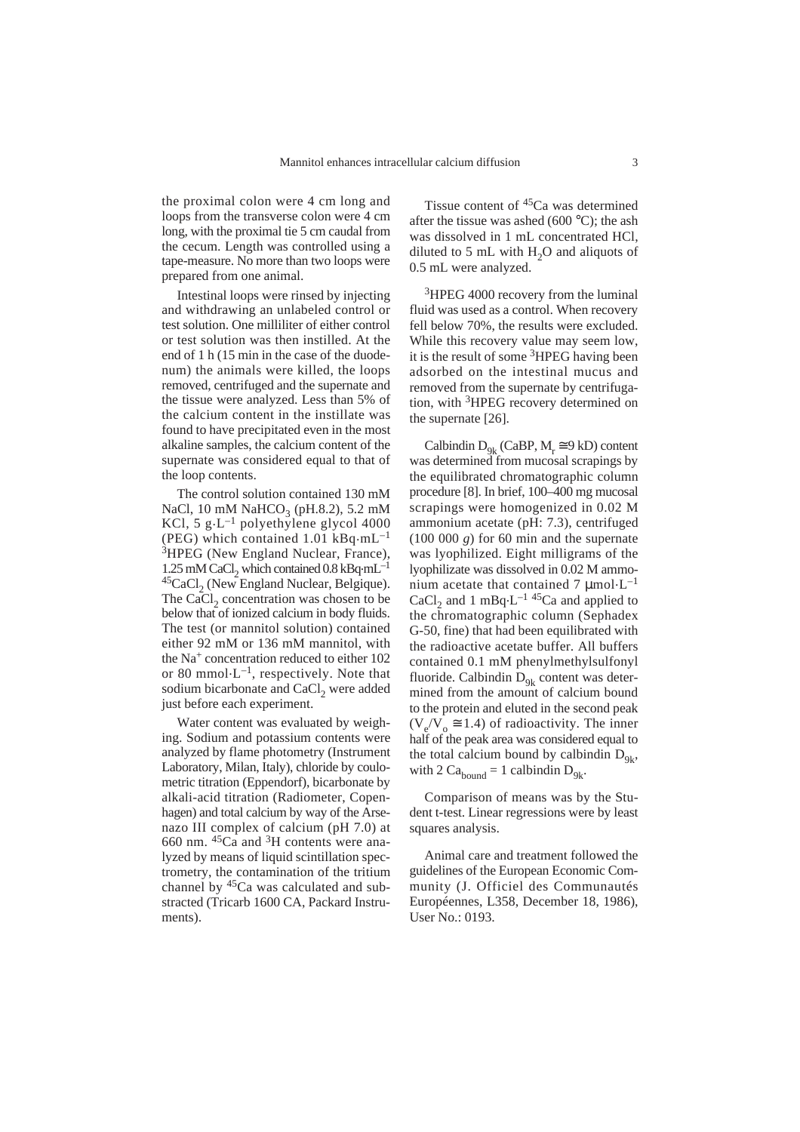the proximal colon were 4 cm long and loops from the transverse colon were 4 cm long, with the proximal tie 5 cm caudal from the cecum. Length was controlled using a tape-measure. No more than two loops were prepared from one animal.

Intestinal loops were rinsed by injecting and withdrawing an unlabeled control or test solution. One milliliter of either control or test solution was then instilled. At the end of 1 h (15 min in the case of the duodenum) the animals were killed, the loops removed, centrifuged and the supernate and the tissue were analyzed. Less than 5% of the calcium content in the instillate was found to have precipitated even in the most alkaline samples, the calcium content of the supernate was considered equal to that of the loop contents.

The control solution contained 130 mM NaCl, 10 mM NaHCO<sub>3</sub> (pH.8.2), 5.2 mM KCl, 5 g $\cdot$ L<sup>-1</sup> polyethylene glycol 4000 (PEG) which contained 1.01  $kBq \cdot mL^{-1}$ <sup>3</sup>HPEG (New England Nuclear, France), 1.25 mM CaCl<sub>2</sub> which contained 0.8 kBq $\cdot$ mL<sup>-1</sup> <sup>45</sup>CaCl<sub>2</sub> (New England Nuclear, Belgique). The CaCl<sub>2</sub> concentration was chosen to be below that of ionized calcium in body fluids. The test (or mannitol solution) contained either 92 mM or 136 mM mannitol, with the Na+ concentration reduced to either 102 or 80 mmol $\cdot L^{-1}$ , respectively. Note that sodium bicarbonate and CaCl<sub>2</sub> were added just before each experiment.

Water content was evaluated by weighing. Sodium and potassium contents were analyzed by flame photometry (Instrument Laboratory, Milan, Italy), chloride by coulometric titration (Eppendorf), bicarbonate by alkali-acid titration (Radiometer, Copenhagen) and total calcium by way of the Arsenazo III complex of calcium (pH 7.0) at 660 nm.  ${}^{45}Ca$  and  ${}^{3}H$  contents were analyzed by means of liquid scintillation spectrometry, the contamination of the tritium channel by  $45Ca$  was calculated and substracted (Tricarb 1600 CA, Packard Instruments).

Tissue content of 45Ca was determined after the tissue was ashed (600  $^{\circ}$ C); the ash was dissolved in 1 mL concentrated HCl, diluted to 5 mL with  $H<sub>2</sub>O$  and aliquots of 0.5 mL were analyzed.

<sup>3</sup>HPEG 4000 recovery from the luminal fluid was used as a control. When recovery fell below 70%, the results were excluded. While this recovery value may seem low, it is the result of some 3HPEG having been adsorbed on the intestinal mucus and removed from the supernate by centrifugation, with 3HPEG recovery determined on the supernate [26].

Calbindin  $D_{9k}$  (CaBP,  $M_r \cong 9$  kD) content was determined from mucosal scrapings by the equilibrated chromatographic column procedure [8]. In brief, 100–400 mg mucosal scrapings were homogenized in 0.02 M ammonium acetate (pH: 7.3), centrifuged  $(100 000 g)$  for 60 min and the supernate was lyophilized. Eight milligrams of the lyophilizate was dissolved in 0.02 M ammonium acetate that contained 7  $\mu$ mol·L<sup>-1</sup> CaCl<sub>2</sub> and 1 mBq $\cdot$ L<sup>-1 45</sup>Ca and applied to the chromatographic column (Sephadex G-50, fine) that had been equilibrated with the radioactive acetate buffer. All buffers contained 0.1 mM phenylmethylsulfonyl fluoride. Calbindin  $D_{q_k}$  content was determined from the amount of calcium bound to the protein and eluted in the second peak  $(V_{o}/V_{o} \cong 1.4)$  of radioactivity. The inner half of the peak area was considered equal to the total calcium bound by calbindin  $D_{q_k}$ , with 2  $Ca<sub>bound</sub> = 1$  calbindin  $D<sub>9k</sub>$ .

Comparison of means was by the Student t-test. Linear regressions were by least squares analysis.

Animal care and treatment followed the guidelines of the European Economic Community (J. Officiel des Communautés Européennes, L358, December 18, 1986), User No.: 0193.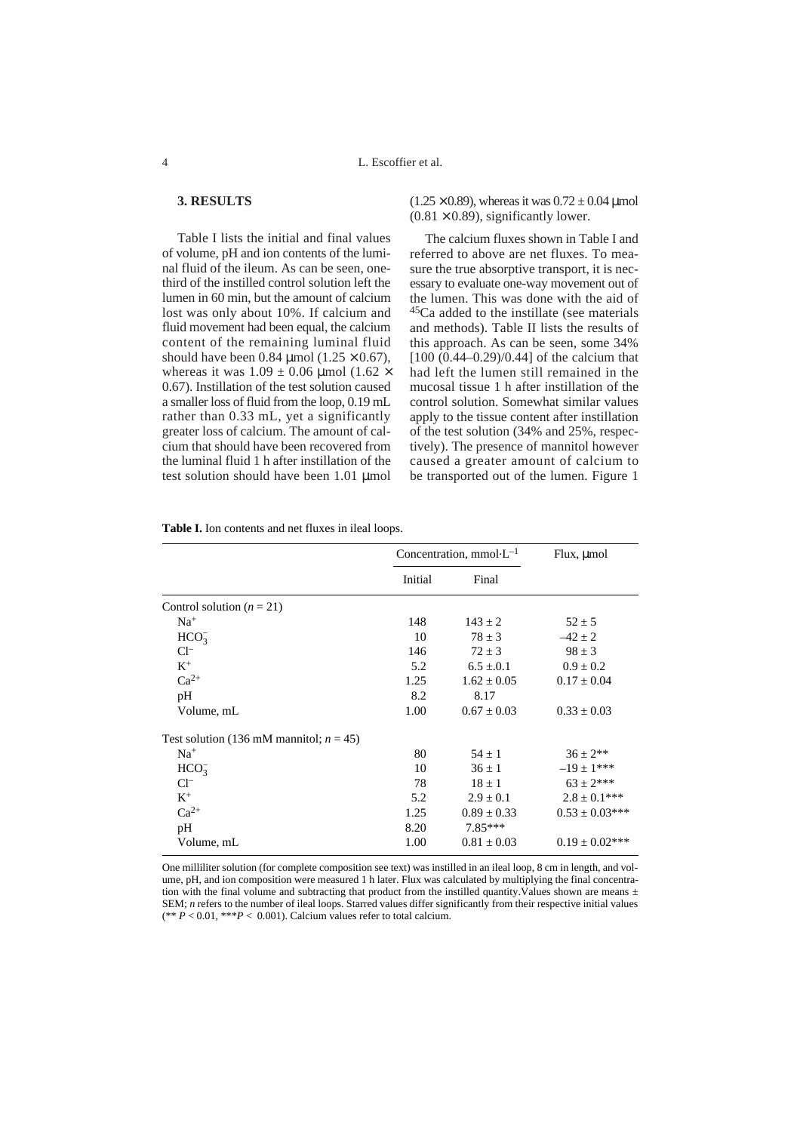### **3. RESULTS**

Table I lists the initial and final values of volume, pH and ion contents of the luminal fluid of the ileum. As can be seen, onethird of the instilled control solution left the lumen in 60 min, but the amount of calcium lost was only about 10%. If calcium and fluid movement had been equal, the calcium content of the remaining luminal fluid should have been 0.84  $\mu$ mol (1.25  $\times$  0.67), whereas it was  $1.09 \pm 0.06$  µmol (1.62  $\times$ 0.67). Instillation of the test solution caused a smaller loss of fluid from the loop, 0.19 mL rather than 0.33 mL, yet a significantly greater loss of calcium. The amount of calcium that should have been recovered from the luminal fluid 1 h after instillation of the test solution should have been 1.01 µmol

 $(1.25 \times 0.89)$ , whereas it was  $0.72 \pm 0.04$  umol  $(0.81 \times 0.89)$ , significantly lower.

The calcium fluxes shown in Table I and referred to above are net fluxes. To measure the true absorptive transport, it is necessary to evaluate one-way movement out of the lumen. This was done with the aid of  $45$ Ca added to the instillate (see materials and methods). Table II lists the results of this approach. As can be seen, some 34% [100 (0.44–0.29)/0.44] of the calcium that had left the lumen still remained in the mucosal tissue 1 h after instillation of the control solution. Somewhat similar values apply to the tissue content after instillation of the test solution (34% and 25%, respectively). The presence of mannitol however caused a greater amount of calcium to be transported out of the lumen. Figure 1

|                                            | Concentration, mmol $L^{-1}$ |                 | $Flux, \mu mol$     |
|--------------------------------------------|------------------------------|-----------------|---------------------|
|                                            | Initial                      | Final           |                     |
| Control solution ( $n = 21$ )              |                              |                 |                     |
| $Na+$                                      | 148                          | $143 \pm 2$     | $52 \pm 5$          |
| HCO <sub>3</sub>                           | 10                           | $78 \pm 3$      | $-42 \pm 2$         |
| $Cl^-$                                     | 146                          | $72 \pm 3$      | $98 \pm 3$          |
| $K^+$                                      | 5.2                          | $6.5 \pm 0.1$   | $0.9 \pm 0.2$       |
| $Ca^{2+}$                                  | 1.25                         | $1.62 \pm 0.05$ | $0.17 \pm 0.04$     |
| pH                                         | 8.2                          | 8.17            |                     |
| Volume, mL                                 | 1.00                         | $0.67 \pm 0.03$ | $0.33 \pm 0.03$     |
| Test solution (136 mM mannitol; $n = 45$ ) |                              |                 |                     |
| $Na+$                                      | 80                           | $54 \pm 1$      | $36 \pm 2**$        |
| HCO <sub>3</sub>                           | 10                           | $36 \pm 1$      | $-19 \pm 1***$      |
| $Cl^-$                                     | 78                           | $18 \pm 1$      | $63 \pm 2***$       |
| $K^+$                                      | 5.2                          | $2.9 \pm 0.1$   | $2.8 \pm 0.1***$    |
| $Ca^{2+}$                                  | 1.25                         | $0.89 \pm 0.33$ | $0.53 \pm 0.03$ *** |
| pH                                         | 8.20                         | $7.85***$       |                     |
| Volume, mL                                 | 1.00                         | $0.81 \pm 0.03$ | $0.19 \pm 0.02$ *** |

One milliliter solution (for complete composition see text) was instilled in an ileal loop, 8 cm in length, and volume, pH, and ion composition were measured 1 h later. Flux was calculated by multiplying the final concentration with the final volume and subtracting that product from the instilled quantity. Values shown are means  $\pm$ SEM; *n* refers to the number of ileal loops. Starred values differ significantly from their respective initial values (\*\*  $P < 0.01$ , \*\*\* $P < 0.001$ ). Calcium values refer to total calcium.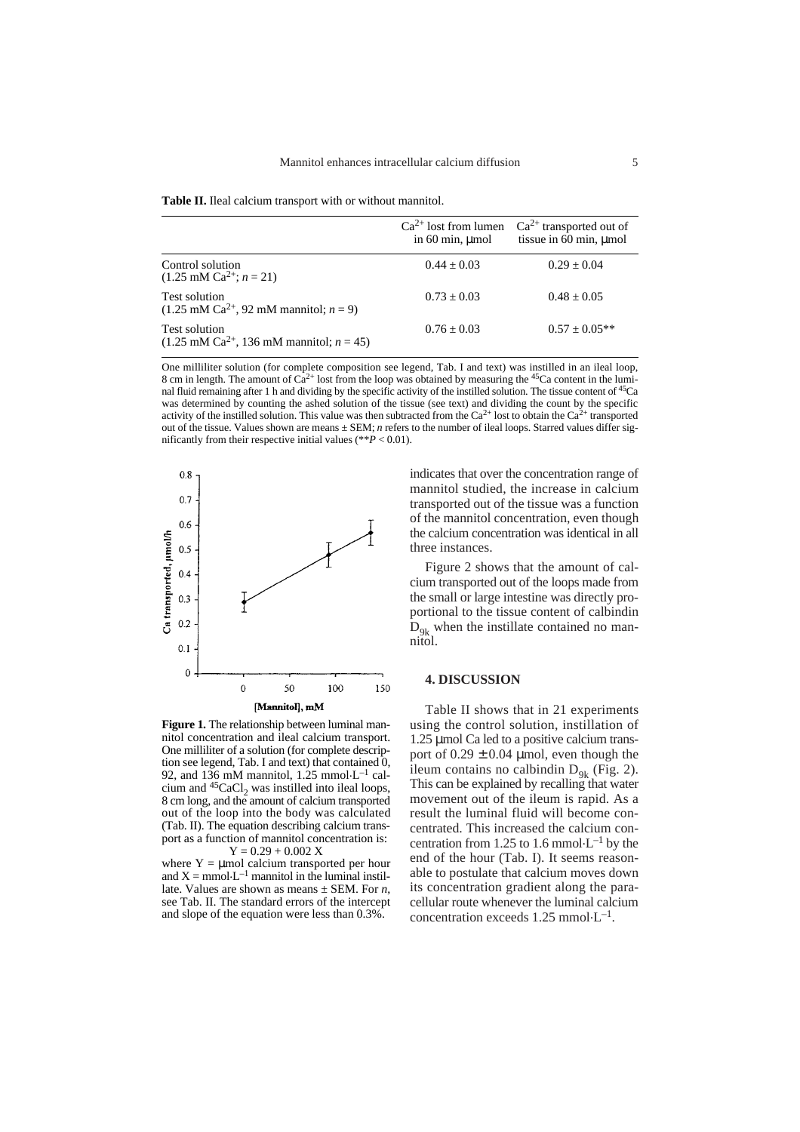**Table II.** Ileal calcium transport with or without mannitol.

|                                                                               | $Ca^{2+}$ lost from lumen<br>in $60 \text{ min}$ , $\mu$ mol | $Ca^{2+}$ transported out of<br>tissue in 60 min, umol |
|-------------------------------------------------------------------------------|--------------------------------------------------------------|--------------------------------------------------------|
| Control solution<br>$(1.25 \text{ mM Ca}^{2+}; n = 21)$                       | $0.44 \pm 0.03$                                              | $0.29 \pm 0.04$                                        |
| Test solution<br>$(1.25 \text{ mM Ca}^{2+}, 92 \text{ mM mannitol}; n = 9)$   | $0.73 + 0.03$                                                | $0.48 \pm 0.05$                                        |
| Test solution<br>$(1.25 \text{ mM Ca}^{2+}, 136 \text{ mM manifold}; n = 45)$ | $0.76 + 0.03$                                                | $0.57 \pm 0.05**$                                      |

One milliliter solution (for complete composition see legend, Tab. I and text) was instilled in an ileal loop, 8 cm in length. The amount of  $Ca^{2+}$  lost from the loop was obtained by measuring the <sup>45</sup>Ca content in the luminal fluid remaining after 1 h and dividing by the specific activity of the instilled solution. The tissue content of 45Ca was determined by counting the ashed solution of the tissue (see text) and dividing the count by the specific activity of the instilled solution. This value was then subtracted from the  $Ca^{2+}$  lost to obtain the  $Ca^{2+}$  transported out of the tissue. Values shown are means ± SEM; *n* refers to the number of ileal loops. Starred values differ significantly from their respective initial values (\*\**P* < 0.01).



**Figure 1.** The relationship between luminal mannitol concentration and ileal calcium transport. One milliliter of a solution (for complete description see legend, Tab. I and text) that contained 0, 92, and 136 mM mannitol, 1.25 mmol.L–1 calcium and  $45$ CaCl<sub>2</sub> was instilled into ileal loops, 8 cm long, and the amount of calcium transported out of the loop into the body was calculated (Tab. II). The equation describing calcium transport as a function of mannitol concentration is:  $Y = 0.29 + 0.002 X$ 

where  $Y = \mu$  mol calcium transported per hour and  $X = \text{mmol} \cdot L^{-1}$  mannitol in the luminal instillate. Values are shown as means ± SEM. For *n*, see Tab. II. The standard errors of the intercept and slope of the equation were less than 0.3%.

indicates that over the concentration range of mannitol studied, the increase in calcium transported out of the tissue was a function of the mannitol concentration, even though the calcium concentration was identical in all three instances.

Figure 2 shows that the amount of calcium transported out of the loops made from the small or large intestine was directly proportional to the tissue content of calbindin  $D_{\text{Q}_k}$  when the instillate contained no mannitol.

#### **4. DISCUSSION**

Table II shows that in 21 experiments using the control solution, instillation of 1.25 µmol Ca led to a positive calcium transport of  $0.29 \pm 0.04$  µmol, even though the ileum contains no calbindin  $D_{9k}$  (Fig. 2). This can be explained by recalling that water movement out of the ileum is rapid. As a result the luminal fluid will become concentrated. This increased the calcium concentration from 1.25 to 1.6 mmol $\cdot L^{-1}$  by the end of the hour (Tab. I). It seems reasonable to postulate that calcium moves down its concentration gradient along the paracellular route whenever the luminal calcium concentration exceeds  $1.25$  mmol $\cdot$ L<sup>-1</sup>.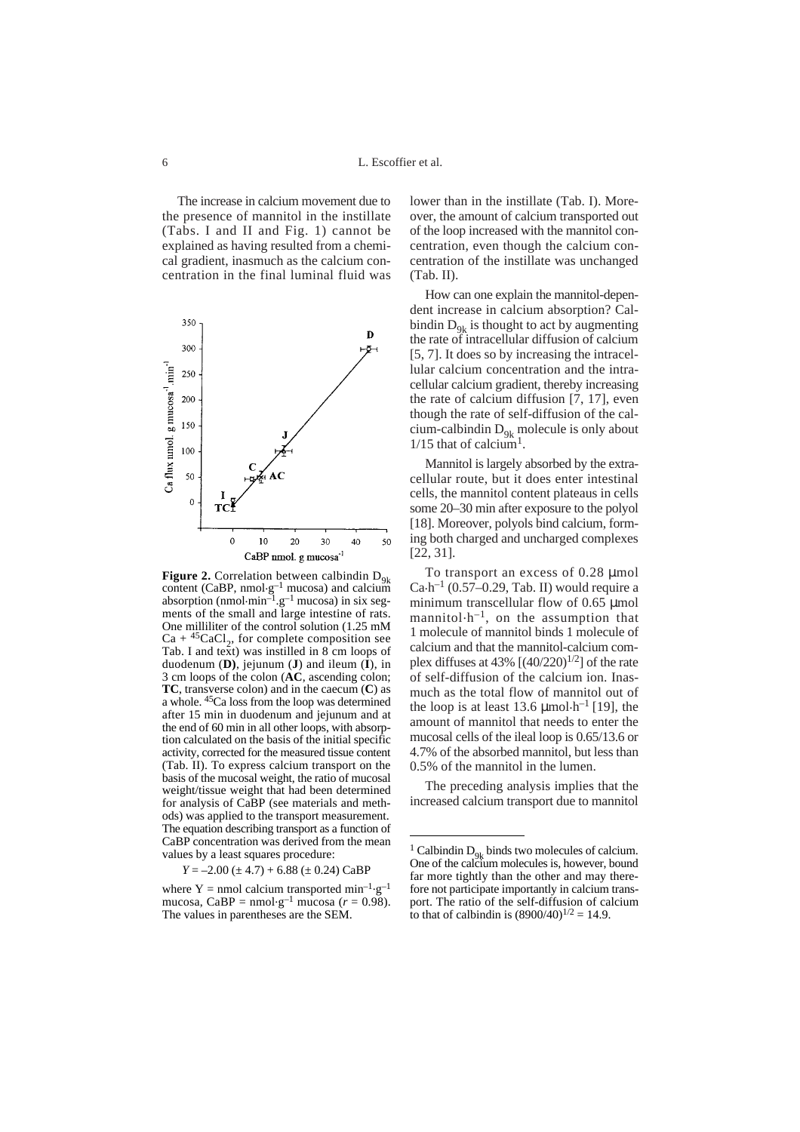L. Escoffier et al.

The increase in calcium movement due to the presence of mannitol in the instillate (Tabs. I and II and Fig. 1) cannot be explained as having resulted from a chemical gradient, inasmuch as the calcium concentration in the final luminal fluid was



**Figure 2.** Correlation between calbindin  $D_{9k}$ content (CaBP, nmol $\cdot$ g<sup>-1</sup> mucosa) and calcium absorption (nmol $\cdot$ min<sup>-1</sup>.g<sup>-1</sup> mucosa) in six segments of the small and large intestine of rats. One milliliter of the control solution (1.25 mM  $Ca + {}^{45}CaCl<sub>2</sub>$ , for complete composition see Tab. I and text) was instilled in 8 cm loops of duodenum (**D)**, jejunum (**J**) and ileum (**I**), in 3 cm loops of the colon (**AC**, ascending colon; **TC**, transverse colon) and in the caecum (**C**) as a whole. 45Ca loss from the loop was determined after 15 min in duodenum and jejunum and at the end of 60 min in all other loops, with absorption calculated on the basis of the initial specific activity, corrected for the measured tissue content (Tab. II). To express calcium transport on the basis of the mucosal weight, the ratio of mucosal weight/tissue weight that had been determined for analysis of CaBP (see materials and methods) was applied to the transport measurement. The equation describing transport as a function of CaBP concentration was derived from the mean values by a least squares procedure:

 $Y = -2.00 \ (\pm 4.7) + 6.88 \ (\pm 0.24) \text{ CaBP}$ 

where Y = nmol calcium transported min<sup>-1</sup>.g<sup>-1</sup> mucosa, CaBP = nmol·g<sup>-1</sup> mucosa ( $r = 0.98$ ). The values in parentheses are the SEM.

lower than in the instillate (Tab. I). Moreover, the amount of calcium transported out of the loop increased with the mannitol concentration, even though the calcium concentration of the instillate was unchanged (Tab. II).

How can one explain the mannitol-dependent increase in calcium absorption? Calbindin  $D_{9k}$  is thought to act by augmenting the rate of intracellular diffusion of calcium [5, 7]. It does so by increasing the intracellular calcium concentration and the intracellular calcium gradient, thereby increasing the rate of calcium diffusion [7, 17], even though the rate of self-diffusion of the calcium-calbindin  $D_{9k}$  molecule is only about  $1/15$  that of calcium<sup>1</sup>.

Mannitol is largely absorbed by the extracellular route, but it does enter intestinal cells, the mannitol content plateaus in cells some 20–30 min after exposure to the polyol [18]. Moreover, polyols bind calcium, forming both charged and uncharged complexes [22, 31].

To transport an excess of 0.28  $\mu$ mol  $Ca\cdot h^{-1}$  (0.57–0.29, Tab. II) would require a minimum transcellular flow of 0.65 µmol mannitol $\cdot$ h<sup>-1</sup>, on the assumption that 1 molecule of mannitol binds 1 molecule of calcium and that the mannitol-calcium complex diffuses at 43%  $[(40/220)^{1/2}]$  of the rate of self-diffusion of the calcium ion. Inasmuch as the total flow of mannitol out of the loop is at least 13.6  $\mu$ mol·h<sup>-1</sup> [19], the amount of mannitol that needs to enter the mucosal cells of the ileal loop is 0.65/13.6 or 4.7% of the absorbed mannitol, but less than 0.5% of the mannitol in the lumen.

The preceding analysis implies that the increased calcium transport due to mannitol

<sup>&</sup>lt;sup>1</sup> Calbindin  $D_{9k}$  binds two molecules of calcium. One of the calcium molecules is, however, bound far more tightly than the other and may therefore not participate importantly in calcium transport. The ratio of the self-diffusion of calcium to that of calbindin is  $(8900/40)^{1/2} = 14.9$ .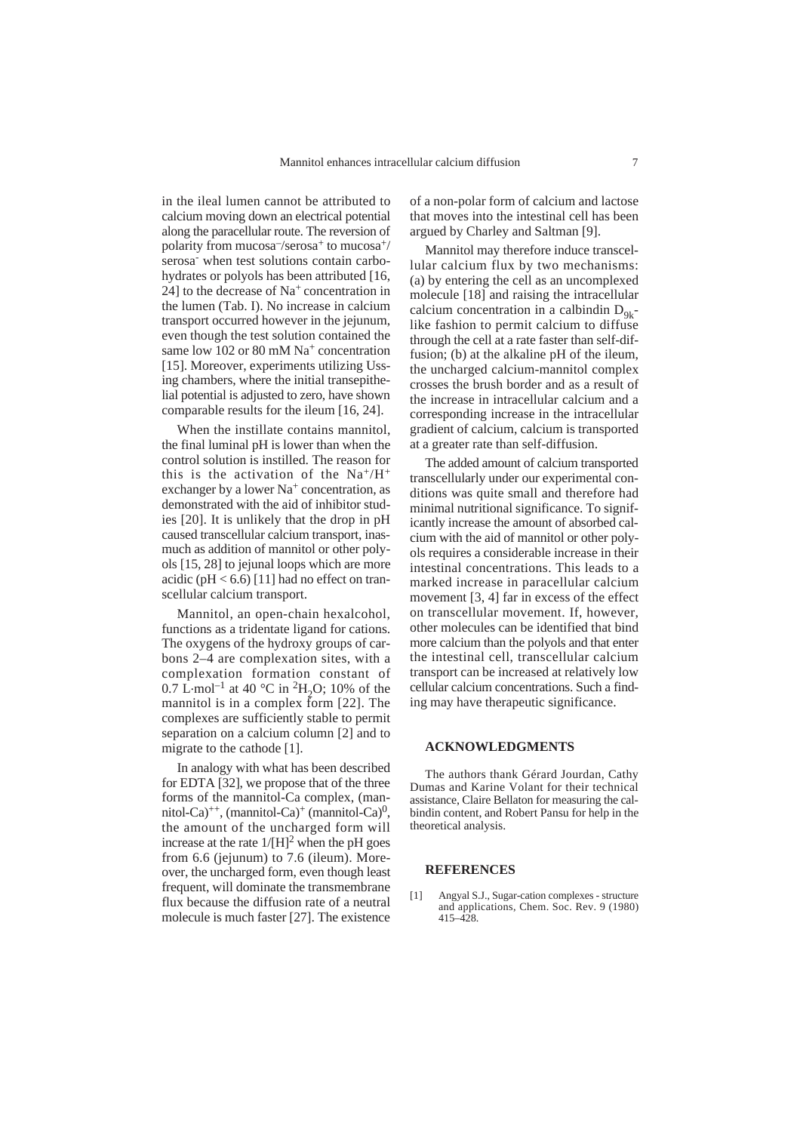in the ileal lumen cannot be attributed to calcium moving down an electrical potential along the paracellular route. The reversion of polarity from mucosa<sup>-/</sup>serosa<sup>+</sup> to mucosa<sup>+/</sup> serosa<sup>-</sup> when test solutions contain carbohydrates or polyols has been attributed [16, 24] to the decrease of  $Na<sup>+</sup>$  concentration in the lumen (Tab. I). No increase in calcium transport occurred however in the jejunum, even though the test solution contained the same low 102 or 80 mM Na<sup>+</sup> concentration [15]. Moreover, experiments utilizing Ussing chambers, where the initial transepithelial potential is adjusted to zero, have shown comparable results for the ileum [16, 24].

When the instillate contains mannitol, the final luminal pH is lower than when the control solution is instilled. The reason for this is the activation of the  $Na^+/H^+$ exchanger by a lower  $Na<sup>+</sup>$  concentration, as demonstrated with the aid of inhibitor studies [20]. It is unlikely that the drop in pH caused transcellular calcium transport, inasmuch as addition of mannitol or other polyols [15, 28] to jejunal loops which are more acidic ( $pH < 6.6$ ) [11] had no effect on transcellular calcium transport.

Mannitol, an open-chain hexalcohol, functions as a tridentate ligand for cations. The oxygens of the hydroxy groups of carbons 2–4 are complexation sites, with a complexation formation constant of 0.7 L·mol<sup>-1</sup> at 40 °C in <sup>2</sup>H<sub>2</sub>O; 10% of the mannitol is in a complex form [22]. The complexes are sufficiently stable to permit separation on a calcium column [2] and to migrate to the cathode [1].

In analogy with what has been described for EDTA [32], we propose that of the three forms of the mannitol-Ca complex, (mannitol-Ca)<sup>++</sup>, (mannitol-Ca)<sup>+</sup> (mannitol-Ca)<sup>0</sup>, the amount of the uncharged form will increase at the rate  $1/[H]^2$  when the pH goes from 6.6 (jejunum) to 7.6 (ileum). Moreover, the uncharged form, even though least frequent, will dominate the transmembrane flux because the diffusion rate of a neutral molecule is much faster [27]. The existence of a non-polar form of calcium and lactose that moves into the intestinal cell has been argued by Charley and Saltman [9].

Mannitol may therefore induce transcellular calcium flux by two mechanisms: (a) by entering the cell as an uncomplexed molecule [18] and raising the intracellular calcium concentration in a calbindin  $D_{q_k}$ like fashion to permit calcium to diffuse through the cell at a rate faster than self-diffusion; (b) at the alkaline pH of the ileum, the uncharged calcium-mannitol complex crosses the brush border and as a result of the increase in intracellular calcium and a corresponding increase in the intracellular gradient of calcium, calcium is transported at a greater rate than self-diffusion.

The added amount of calcium transported transcellularly under our experimental conditions was quite small and therefore had minimal nutritional significance. To significantly increase the amount of absorbed calcium with the aid of mannitol or other polyols requires a considerable increase in their intestinal concentrations. This leads to a marked increase in paracellular calcium movement [3, 4] far in excess of the effect on transcellular movement. If, however, other molecules can be identified that bind more calcium than the polyols and that enter the intestinal cell, transcellular calcium transport can be increased at relatively low cellular calcium concentrations. Such a finding may have therapeutic significance.

#### **ACKNOWLEDGMENTS**

The authors thank Gérard Jourdan, Cathy Dumas and Karine Volant for their technical assistance, Claire Bellaton for measuring the calbindin content, and Robert Pansu for help in the theoretical analysis.

#### **REFERENCES**

[1] Angyal S.J., Sugar-cation complexes - structure and applications, Chem. Soc. Rev. 9 (1980) 415–428.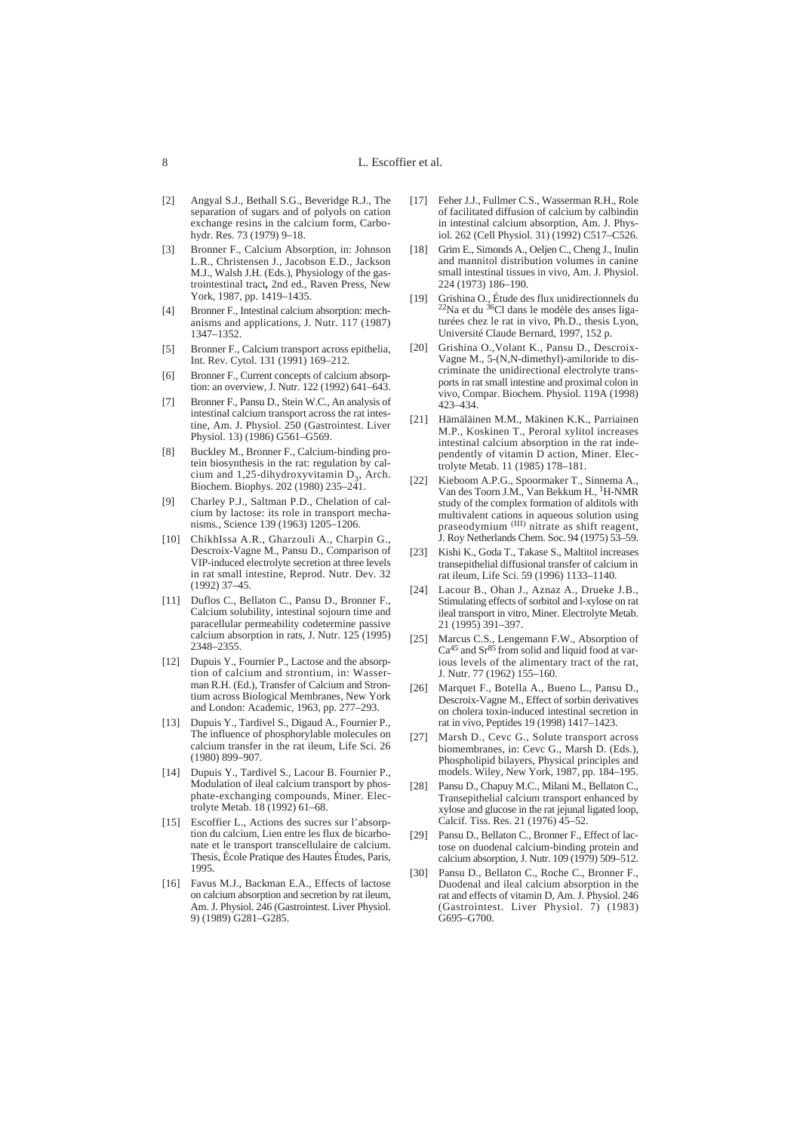- [2] Angyal S.J., Bethall S.G., Beveridge R.J., The separation of sugars and of polyols on cation exchange resins in the calcium form, Carbohydr. Res. 73 (1979) 9–18.
- [3] Bronner F., Calcium Absorption, in: Johnson L.R., Christensen J., Jacobson E.D., Jackson M.J., Walsh J.H. (Eds.), Physiology of the gastrointestinal tract*,* 2nd ed., Raven Press, New York, 1987, pp. 1419–1435.
- [4] Bronner F., Intestinal calcium absorption: mechanisms and applications, J. Nutr. 117 (1987) 1347–1352.
- [5] Bronner F., Calcium transport across epithelia, Int. Rev. Cytol. 131 (1991) 169–212.
- [6] Bronner F., Current concepts of calcium absorption: an overview, J. Nutr. 122 (1992) 641–643.
- [7] Bronner F., Pansu D., Stein W.C., An analysis of intestinal calcium transport across the rat intestine, Am. J. Physiol. 250 (Gastrointest. Liver Physiol. 13) (1986) G561–G569.
- [8] Buckley M., Bronner F., Calcium-binding protein biosynthesis in the rat: regulation by calcium and 1,25-dihydroxyvitamin  $D_3$ , Arch. Biochem. Biophys. 202 (1980) 235–241.
- [9] Charley P.J., Saltman P.D., Chelation of calcium by lactose: its role in transport mechanisms*.,* Science 139 (1963) 1205–1206.
- [10] ChikhIssa A.R., Gharzouli A., Charpin G., Descroix-Vagne M., Pansu D., Comparison of VIP-induced electrolyte secretion at three levels in rat small intestine, Reprod. Nutr. Dev. 32 (1992) 37–45.
- [11] Duflos C., Bellaton C., Pansu D., Bronner F. Calcium solubility, intestinal sojourn time and paracellular permeability codetermine passive calcium absorption in rats, J. Nutr. 125 (1995) 2348–2355.
- [12] Dupuis Y., Fournier P., Lactose and the absorption of calcium and strontium, in: Wasserman R.H. (Ed.), Transfer of Calcium and Strontium across Biological Membranes, New York and London: Academic, 1963, pp. 277–293.
- [13] Dupuis Y., Tardivel S., Digaud A., Fournier P., The influence of phosphorylable molecules on calcium transfer in the rat ileum, Life Sci*.* 26 (1980) 899–907.
- [14] Dupuis Y., Tardivel S., Lacour B. Fournier P., Modulation of ileal calcium transport by phosphate-exchanging compounds, Miner. Electrolyte Metab. 18 (1992) 61–68.
- [15] Escoffier L., Actions des sucres sur l'absorption du calcium, Lien entre les flux de bicarbonate et le transport transcellulaire de calcium. Thesis, École Pratique des Hautes Études, Paris, 1995.
- [16] Favus M.J., Backman E.A., Effects of lactose on calcium absorption and secretion by rat ileum, Am. J. Physiol. 246 (Gastrointest. Liver Physiol. 9) (1989) G281–G285.
- [17] Feher J.J., Fullmer C.S., Wasserman R.H., Role of facilitated diffusion of calcium by calbindin in intestinal calcium absorption, Am. J. Physiol. 262 (Cell Physiol. 31) (1992) C517–C526.
- [18] Grim E., Simonds A., Oeljen C., Cheng J., Inulin and mannitol distribution volumes in canine small intestinal tissues in vivo, Am. J. Physiol. 224 (1973) 186–190.
- [19] Grishina O., Étude des flux unidirectionnels du <sup>22</sup>Na et du <sup>36</sup>Cl dans le modèle des anses ligaturées chez le rat in vivo, Ph.D., thesis Lyon, Université Claude Bernard, 1997, 152 p.
- [20] Grishina O.,Volant K., Pansu D., Descroix-Vagne M., 5-(N,N-dimethyl)-amiloride to discriminate the unidirectional electrolyte transports in rat small intestine and proximal colon in vivo*,* Compar. Biochem. Physiol. 119A (1998) 423–434.
- [21] Hämäläinen M.M., Mäkinen K.K., Parriainen M.P., Koskinen T., Peroral xylitol increases intestinal calcium absorption in the rat independently of vitamin D action, Miner. Electrolyte Metab. 11 (1985) 178–181.
- [22] Kieboom A.P.G., Spoormaker T., Sinnema A., Van des Toorn J.M., Van Bekkum H., 1H-NMR study of the complex formation of alditols with multivalent cations in aqueous solution using<br>praseodymium <sup>(III)</sup> nitrate as shift reagent, J. Roy Netherlands Chem. Soc. 94 (1975) 53–59.
- [23] Kishi K., Goda T., Takase S., Maltitol increases transepithelial diffusional transfer of calcium in rat ileum, Life Sci. 59 (1996) 1133–1140.
- [24] Lacour B., Ohan J., Aznaz A., Drueke J.B., Stimulating effects of sorbitol and l-xylose on rat ileal transport in vitro, Miner. Electrolyte Metab. 21 (1995) 391–397.
- [25] Marcus C.S., Lengemann F.W., Absorption of  $Ca<sup>45</sup>$  and  $Sr<sup>85</sup>$  from solid and liquid food at various levels of the alimentary tract of the rat, J. Nutr. 77 (1962) 155–160.
- [26] Marquet F., Botella A., Bueno L., Pansu D., Descroix-Vagne M., Effect of sorbin derivatives on cholera toxin-induced intestinal secretion in rat in vivo, Peptides 19 (1998) 1417–1423.
- [27] Marsh D., Cevc G., Solute transport across biomembranes, in: Cevc G., Marsh D. (Eds.), Phospholipid bilayers, Physical principles and models. Wiley, New York, 1987, pp. 184–195.
- [28] Pansu D., Chapuy M.C., Milani M., Bellaton C., Transepithelial calcium transport enhanced by xylose and glucose in the rat jejunal ligated loop, Calcif. Tiss. Res. 21 (1976) 45–52.
- [29] Pansu D., Bellaton C., Bronner F., Effect of lactose on duodenal calcium-binding protein and calcium absorption, J. Nutr. 109 (1979) 509–512.
- [30] Pansu D., Bellaton C., Roche C., Bronner F., Duodenal and ileal calcium absorption in the rat and effects of vitamin D, Am. J. Physiol. 246 (Gastrointest. Liver Physiol. 7) (1983) G695–G700.